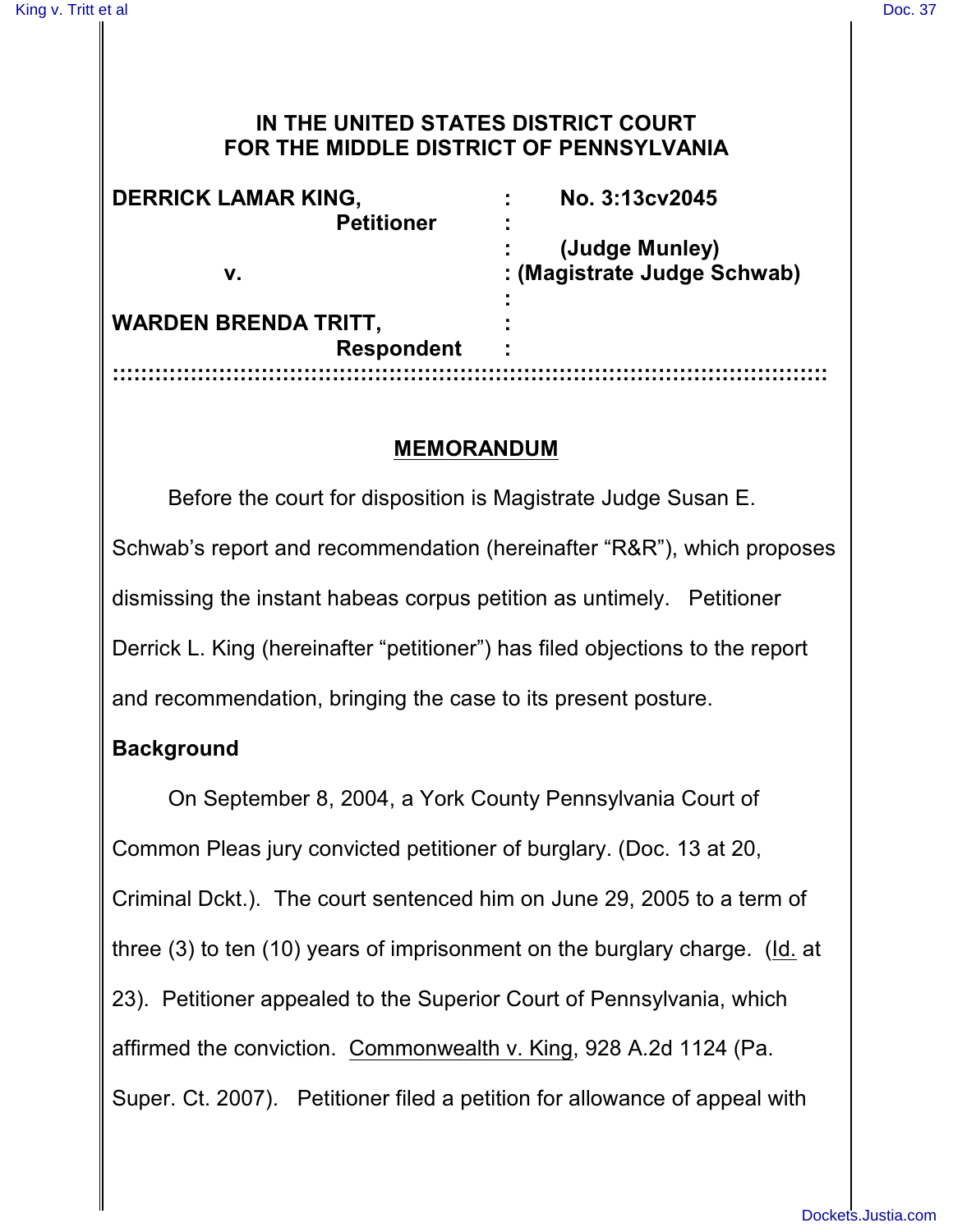### **IN THE UNITED STATES DISTRICT COURT FOR THE MIDDLE DISTRICT OF PENNSYLVANIA**

| <b>DERRICK LAMAR KING,</b><br><b>Petitioner</b><br>v. | No. 3:13cv2045                                |
|-------------------------------------------------------|-----------------------------------------------|
|                                                       | (Judge Munley)<br>: (Magistrate Judge Schwab) |
| <b>WARDEN BRENDA TRITT,</b><br><b>Respondent</b>      | ٠                                             |
|                                                       |                                               |

## **MEMORANDUM**

Before the court for disposition is Magistrate Judge Susan E. Schwab's report and recommendation (hereinafter "R&R"), which proposes dismissing the instant habeas corpus petition as untimely. Petitioner Derrick L. King (hereinafter "petitioner") has filed objections to the report and recommendation, bringing the case to its present posture.

# **Background**

On September 8, 2004, a York County Pennsylvania Court of Common Pleas jury convicted petitioner of burglary. (Doc. 13 at 20, Criminal Dckt.). The court sentenced him on June 29, 2005 to a term of three (3) to ten (10) years of imprisonment on the burglary charge. (Id. at 23). Petitioner appealed to the Superior Court of Pennsylvania, which affirmed the conviction. Commonwealth v. King, 928 A.2d 1124 (Pa. Super. Ct. 2007). Petitioner filed a petition for allowance of appeal with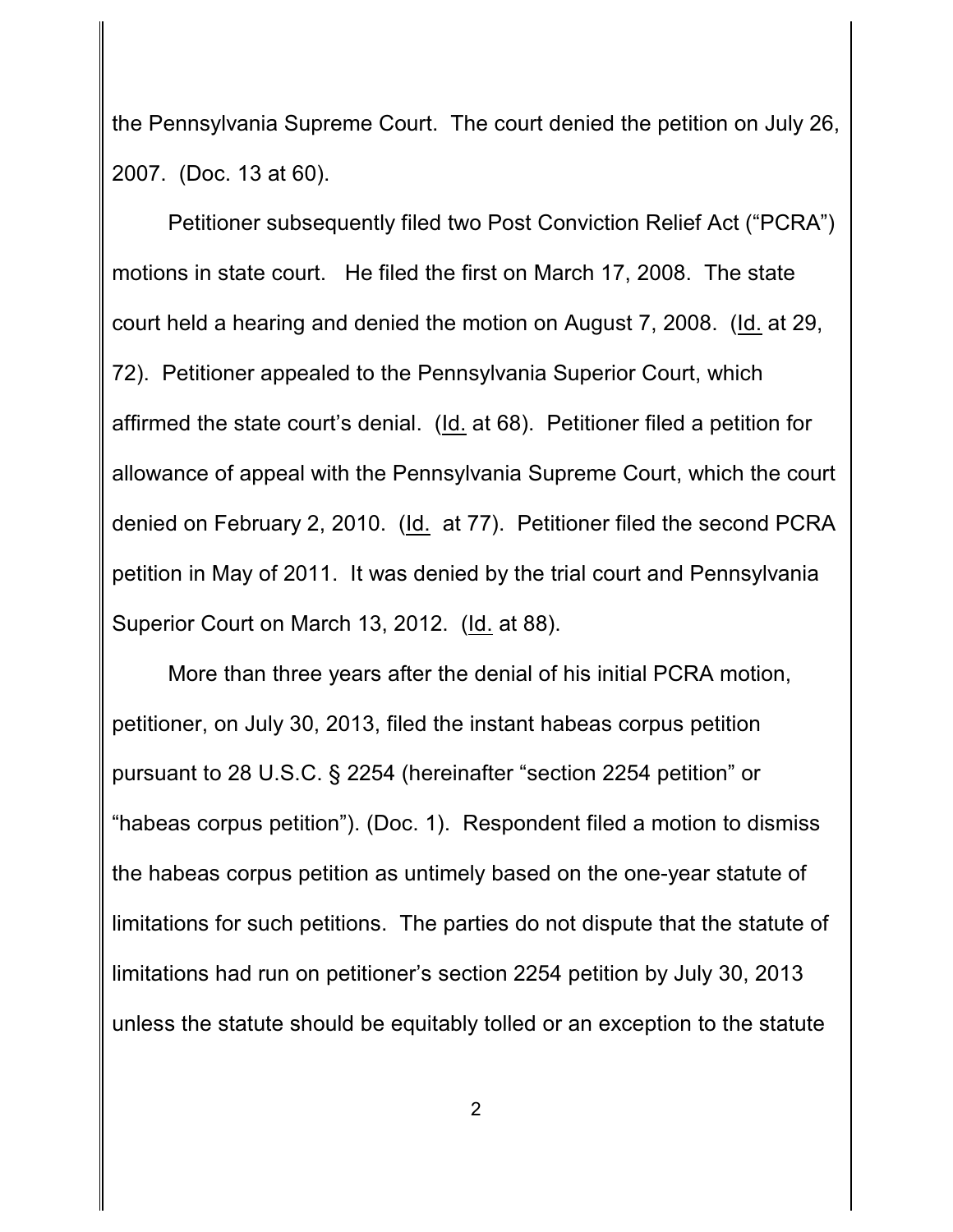the Pennsylvania Supreme Court. The court denied the petition on July 26, 2007. (Doc. 13 at 60).

Petitioner subsequently filed two Post Conviction Relief Act ("PCRA") motions in state court. He filed the first on March 17, 2008. The state court held a hearing and denied the motion on August 7, 2008. (Id. at 29, 72). Petitioner appealed to the Pennsylvania Superior Court, which affirmed the state court's denial. (Id. at 68). Petitioner filed a petition for allowance of appeal with the Pennsylvania Supreme Court, which the court denied on February 2, 2010. (Id. at 77). Petitioner filed the second PCRA petition in May of 2011. It was denied by the trial court and Pennsylvania Superior Court on March 13, 2012. (Id. at 88).

More than three years after the denial of his initial PCRA motion, petitioner, on July 30, 2013, filed the instant habeas corpus petition pursuant to 28 U.S.C. § 2254 (hereinafter "section 2254 petition" or "habeas corpus petition"). (Doc. 1). Respondent filed a motion to dismiss the habeas corpus petition as untimely based on the one-year statute of limitations for such petitions. The parties do not dispute that the statute of limitations had run on petitioner's section 2254 petition by July 30, 2013 unless the statute should be equitably tolled or an exception to the statute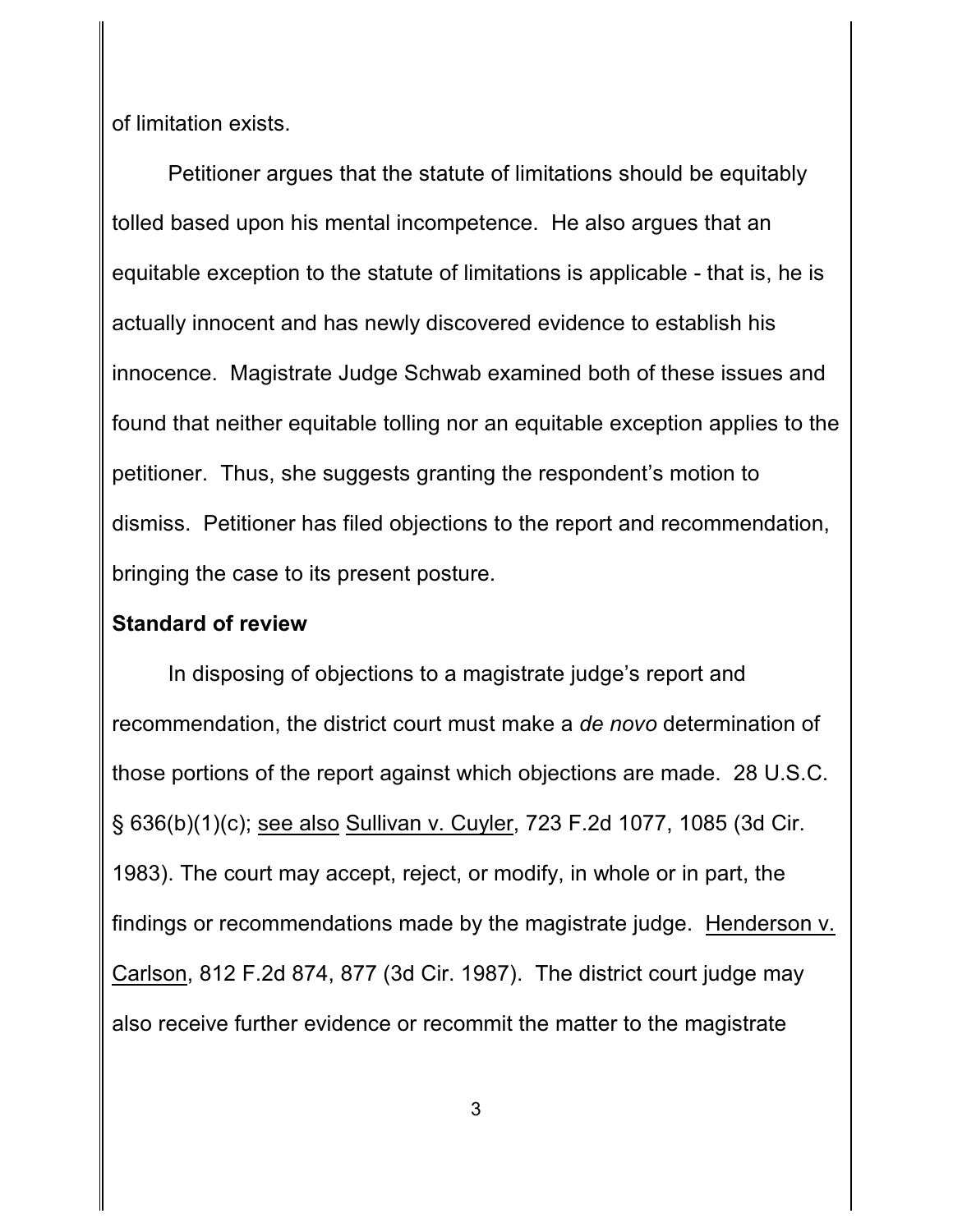of limitation exists.

Petitioner argues that the statute of limitations should be equitably tolled based upon his mental incompetence. He also argues that an equitable exception to the statute of limitations is applicable - that is, he is actually innocent and has newly discovered evidence to establish his innocence. Magistrate Judge Schwab examined both of these issues and found that neither equitable tolling nor an equitable exception applies to the petitioner. Thus, she suggests granting the respondent's motion to dismiss. Petitioner has filed objections to the report and recommendation, bringing the case to its present posture.

#### **Standard of review**

In disposing of objections to a magistrate judge's report and recommendation, the district court must make a *de novo* determination of those portions of the report against which objections are made. 28 U.S.C. § 636(b)(1)(c); see also Sullivan v. Cuyler, 723 F.2d 1077, 1085 (3d Cir. 1983). The court may accept, reject, or modify, in whole or in part, the findings or recommendations made by the magistrate judge. Henderson v. Carlson, 812 F.2d 874, 877 (3d Cir. 1987). The district court judge may also receive further evidence or recommit the matter to the magistrate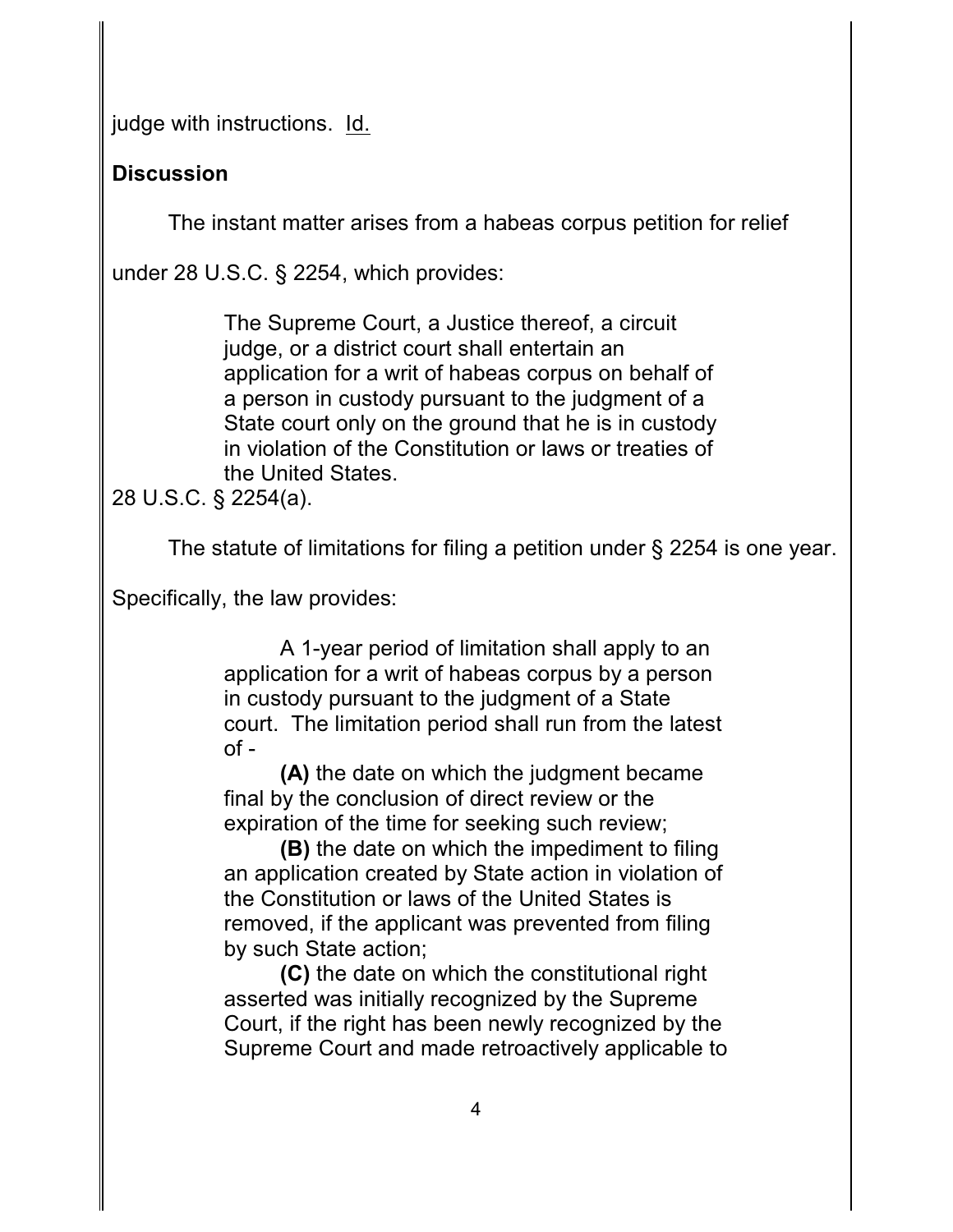judge with instructions. Id.

# **Discussion**

The instant matter arises from a habeas corpus petition for relief

under 28 U.S.C. § 2254, which provides:

The Supreme Court, a Justice thereof, a circuit judge, or a district court shall entertain an application for a writ of habeas corpus on behalf of a person in custody pursuant to the judgment of a State court only on the ground that he is in custody in violation of the Constitution or laws or treaties of the United States.

28 U.S.C. § 2254(a).

The statute of limitations for filing a petition under § 2254 is one year.

Specifically, the law provides:

A 1-year period of limitation shall apply to an application for a writ of habeas corpus by a person in custody pursuant to the judgment of a State court. The limitation period shall run from the latest  $of -$ 

**(A)** the date on which the judgment became final by the conclusion of direct review or the expiration of the time for seeking such review;

**(B)** the date on which the impediment to filing an application created by State action in violation of the Constitution or laws of the United States is removed, if the applicant was prevented from filing by such State action;

**(C)** the date on which the constitutional right asserted was initially recognized by the Supreme Court, if the right has been newly recognized by the Supreme Court and made retroactively applicable to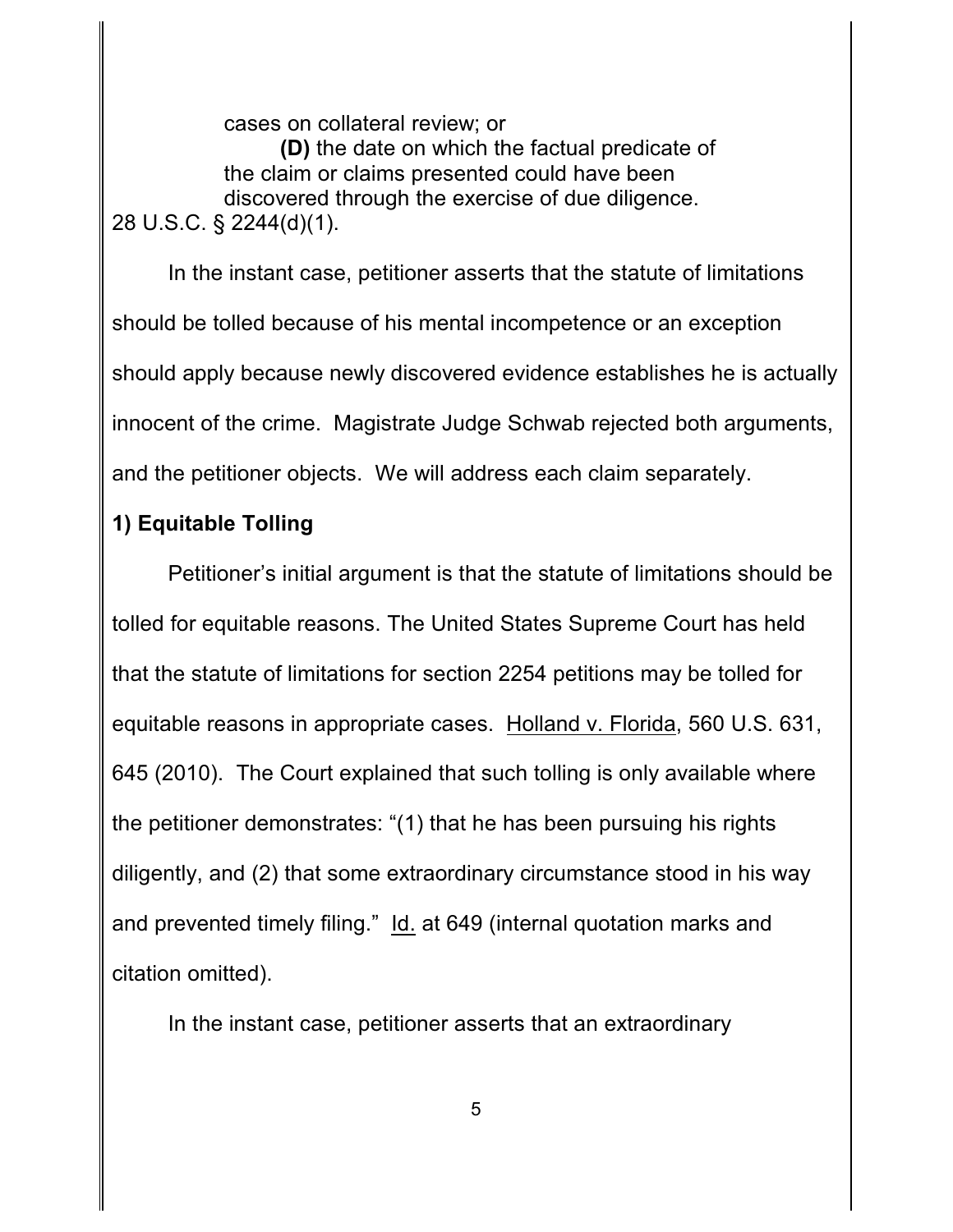cases on collateral review; or **(D)** the date on which the factual predicate of the claim or claims presented could have been discovered through the exercise of due diligence. 28 U.S.C. § 2244(d)(1).

In the instant case, petitioner asserts that the statute of limitations should be tolled because of his mental incompetence or an exception should apply because newly discovered evidence establishes he is actually innocent of the crime. Magistrate Judge Schwab rejected both arguments, and the petitioner objects. We will address each claim separately.

### **1) Equitable Tolling**

Petitioner's initial argument is that the statute of limitations should be tolled for equitable reasons. The United States Supreme Court has held that the statute of limitations for section 2254 petitions may be tolled for equitable reasons in appropriate cases. Holland v. Florida, 560 U.S. 631, 645 (2010). The Court explained that such tolling is only available where the petitioner demonstrates: "(1) that he has been pursuing his rights diligently, and (2) that some extraordinary circumstance stood in his way and prevented timely filing." Id. at 649 (internal quotation marks and citation omitted).

In the instant case, petitioner asserts that an extraordinary

5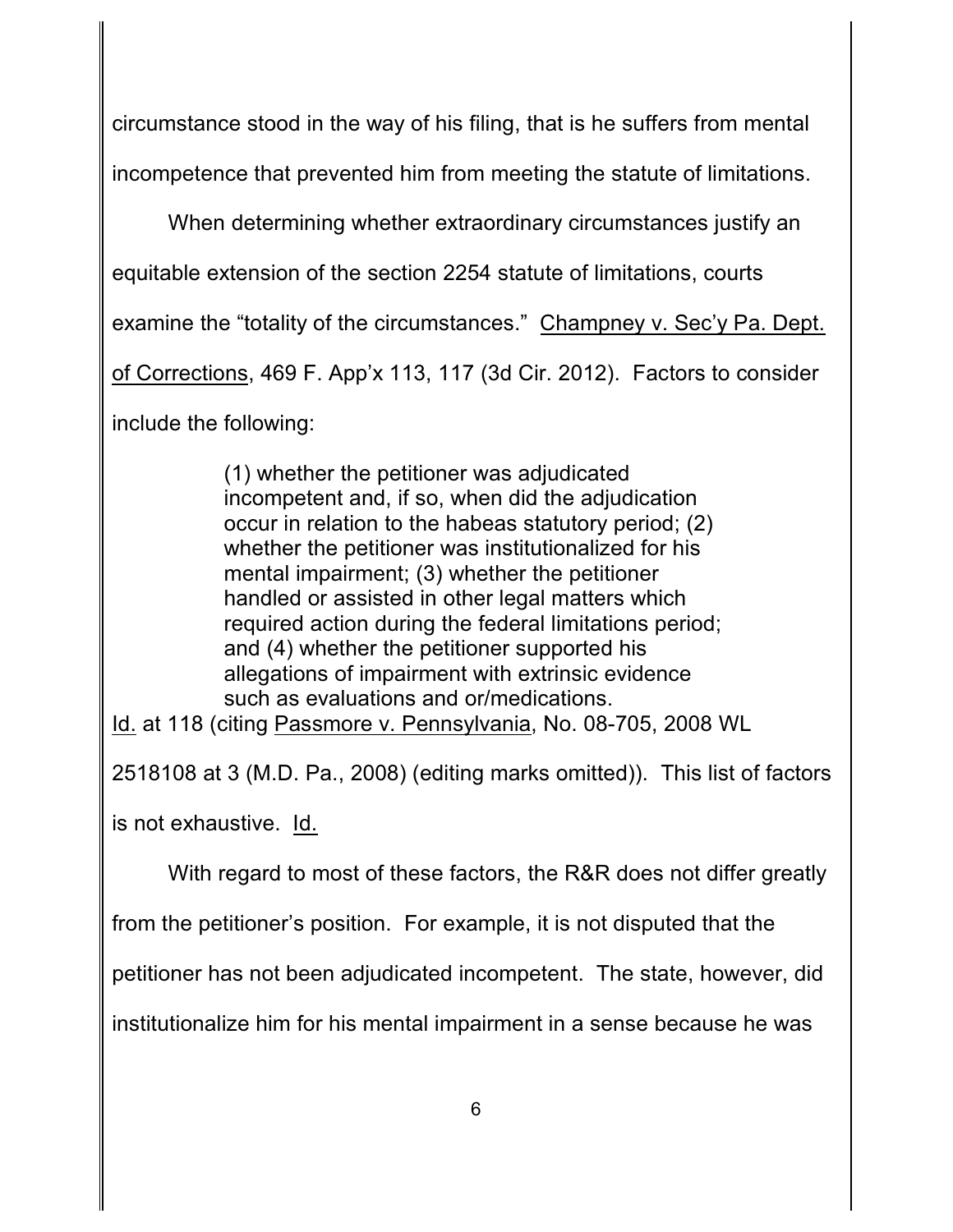circumstance stood in the way of his filing, that is he suffers from mental incompetence that prevented him from meeting the statute of limitations.

When determining whether extraordinary circumstances justify an

equitable extension of the section 2254 statute of limitations, courts

examine the "totality of the circumstances." Champney v. Sec'y Pa. Dept.

of Corrections, 469 F. App'x 113, 117 (3d Cir. 2012). Factors to consider

include the following:

(1) whether the petitioner was adjudicated incompetent and, if so, when did the adjudication occur in relation to the habeas statutory period; (2) whether the petitioner was institutionalized for his mental impairment; (3) whether the petitioner handled or assisted in other legal matters which required action during the federal limitations period; and (4) whether the petitioner supported his allegations of impairment with extrinsic evidence such as evaluations and or/medications.

Id. at 118 (citing Passmore v. Pennsylvania, No. 08-705, 2008 WL

2518108 at 3 (M.D. Pa., 2008) (editing marks omitted)). This list of factors

is not exhaustive. Id.

With regard to most of these factors, the R&R does not differ greatly

from the petitioner's position. For example, it is not disputed that the

petitioner has not been adjudicated incompetent. The state, however, did

institutionalize him for his mental impairment in a sense because he was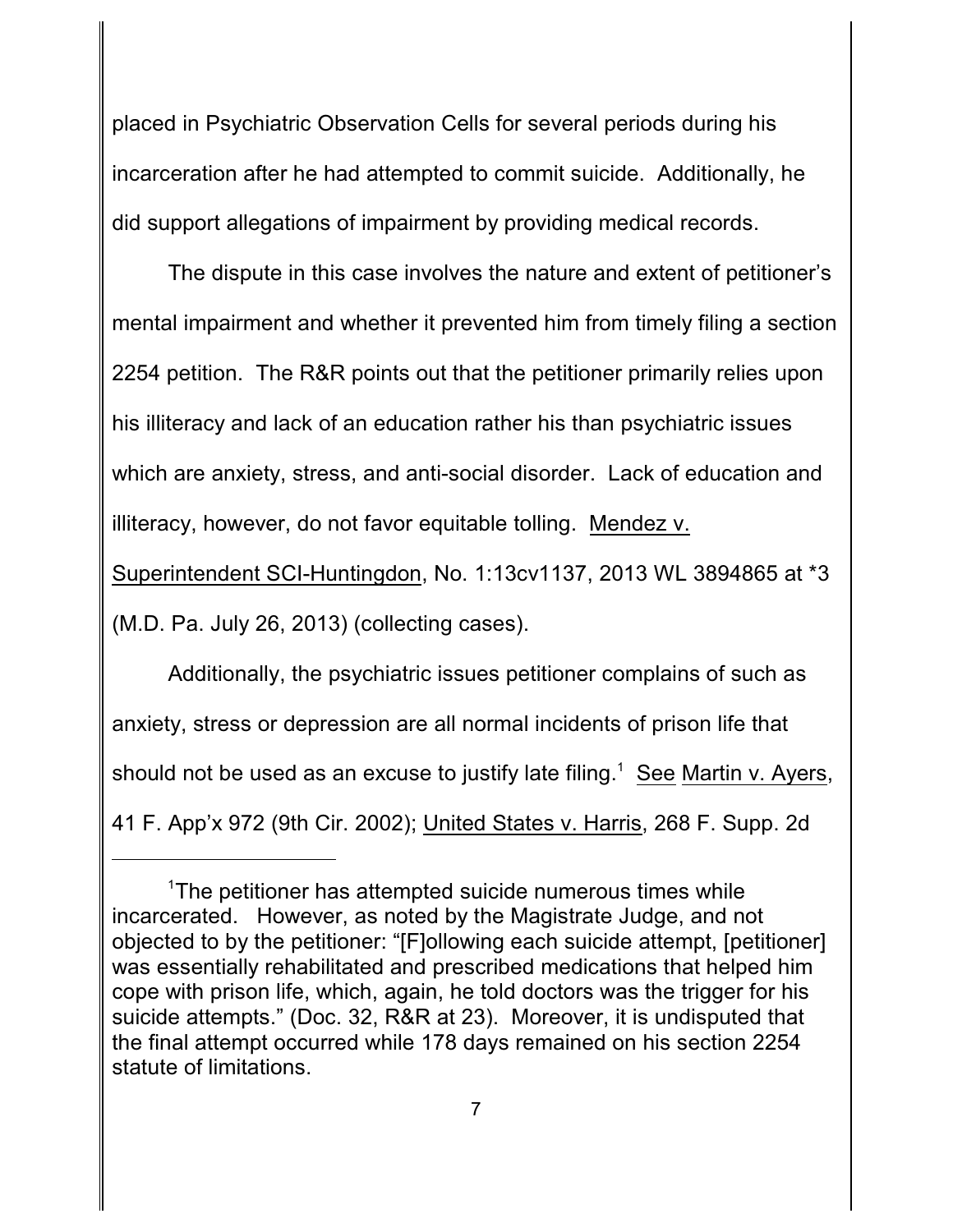placed in Psychiatric Observation Cells for several periods during his incarceration after he had attempted to commit suicide. Additionally, he did support allegations of impairment by providing medical records.

The dispute in this case involves the nature and extent of petitioner's mental impairment and whether it prevented him from timely filing a section 2254 petition. The R&R points out that the petitioner primarily relies upon his illiteracy and lack of an education rather his than psychiatric issues which are anxiety, stress, and anti-social disorder. Lack of education and illiteracy, however, do not favor equitable tolling. Mendez v.

Superintendent SCI-Huntingdon, No. 1:13cv1137, 2013 WL 3894865 at \*3

(M.D. Pa. July 26, 2013) (collecting cases).

Additionally, the psychiatric issues petitioner complains of such as anxiety, stress or depression are all normal incidents of prison life that should not be used as an excuse to justify late filing.<sup>1</sup> See Martin v. Ayers, 41 F. App'x 972 (9th Cir. 2002); United States v. Harris, 268 F. Supp. 2d

<sup>&</sup>lt;sup>1</sup>The petitioner has attempted suicide numerous times while incarcerated. However, as noted by the Magistrate Judge, and not objected to by the petitioner: "[F]ollowing each suicide attempt, [petitioner] was essentially rehabilitated and prescribed medications that helped him cope with prison life, which, again, he told doctors was the trigger for his suicide attempts." (Doc. 32, R&R at 23). Moreover, it is undisputed that the final attempt occurred while 178 days remained on his section 2254 statute of limitations.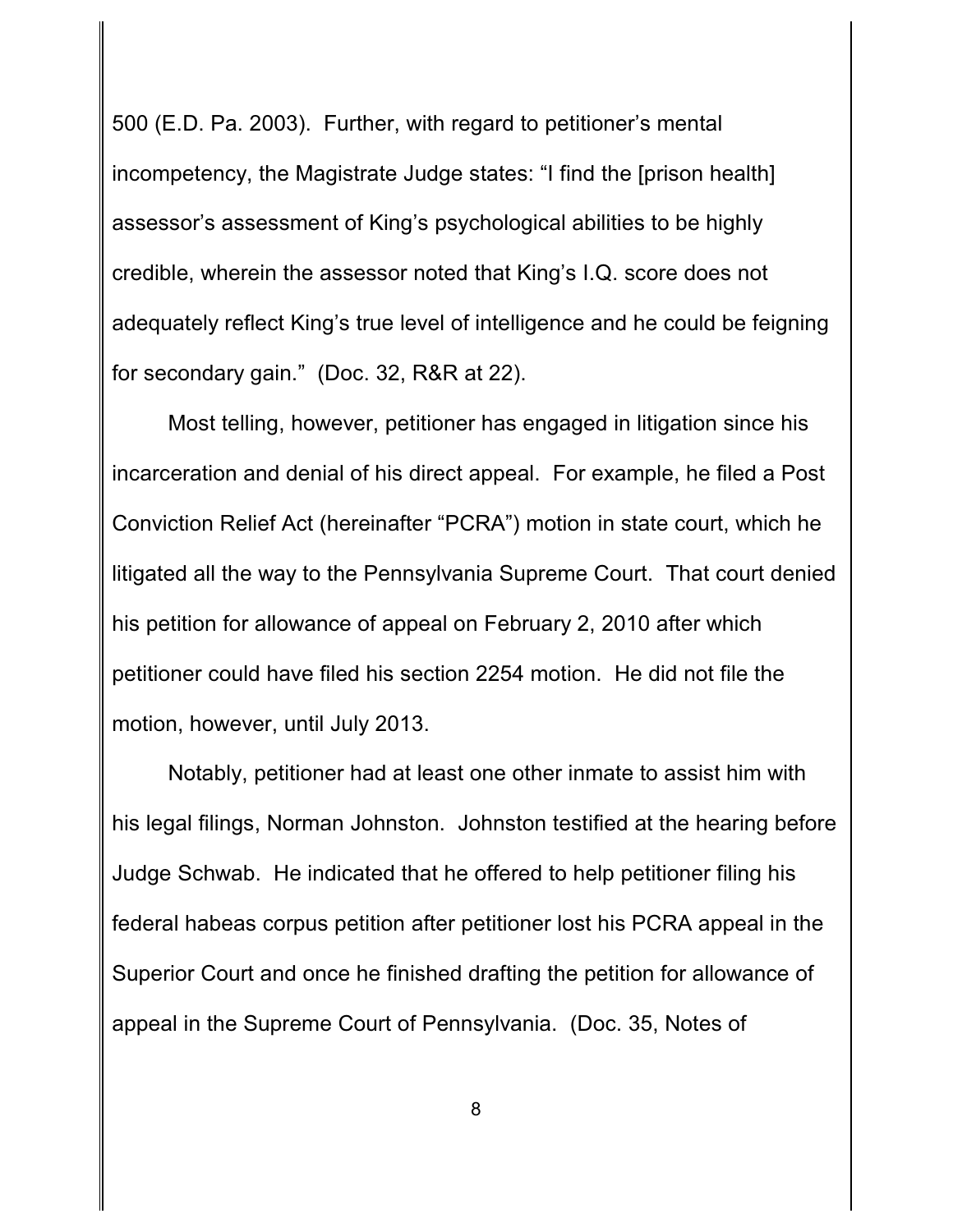500 (E.D. Pa. 2003). Further, with regard to petitioner's mental incompetency, the Magistrate Judge states: "I find the [prison health] assessor's assessment of King's psychological abilities to be highly credible, wherein the assessor noted that King's I.Q. score does not adequately reflect King's true level of intelligence and he could be feigning for secondary gain." (Doc. 32, R&R at 22).

Most telling, however, petitioner has engaged in litigation since his incarceration and denial of his direct appeal. For example, he filed a Post Conviction Relief Act (hereinafter "PCRA") motion in state court, which he litigated all the way to the Pennsylvania Supreme Court. That court denied his petition for allowance of appeal on February 2, 2010 after which petitioner could have filed his section 2254 motion. He did not file the motion, however, until July 2013.

Notably, petitioner had at least one other inmate to assist him with his legal filings, Norman Johnston. Johnston testified at the hearing before Judge Schwab. He indicated that he offered to help petitioner filing his federal habeas corpus petition after petitioner lost his PCRA appeal in the Superior Court and once he finished drafting the petition for allowance of appeal in the Supreme Court of Pennsylvania. (Doc. 35, Notes of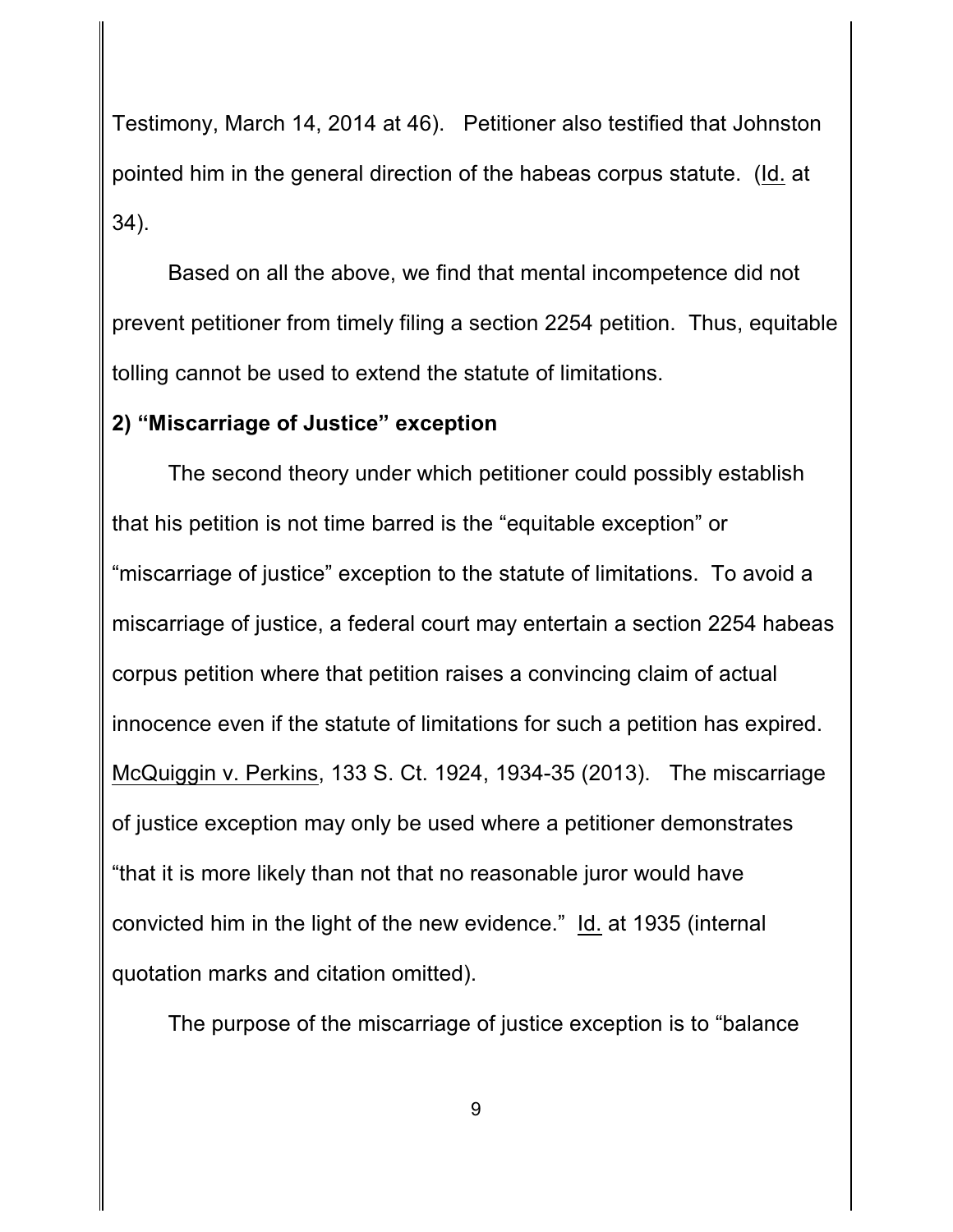Testimony, March 14, 2014 at 46). Petitioner also testified that Johnston pointed him in the general direction of the habeas corpus statute. (Id. at 34).

Based on all the above, we find that mental incompetence did not prevent petitioner from timely filing a section 2254 petition. Thus, equitable tolling cannot be used to extend the statute of limitations.

### **2) "Miscarriage of Justice" exception**

The second theory under which petitioner could possibly establish that his petition is not time barred is the "equitable exception" or "miscarriage of justice" exception to the statute of limitations. To avoid a miscarriage of justice, a federal court may entertain a section 2254 habeas corpus petition where that petition raises a convincing claim of actual innocence even if the statute of limitations for such a petition has expired. McQuiggin v. Perkins, 133 S. Ct. 1924, 1934-35 (2013). The miscarriage of justice exception may only be used where a petitioner demonstrates "that it is more likely than not that no reasonable juror would have convicted him in the light of the new evidence." Id. at 1935 (internal quotation marks and citation omitted).

The purpose of the miscarriage of justice exception is to "balance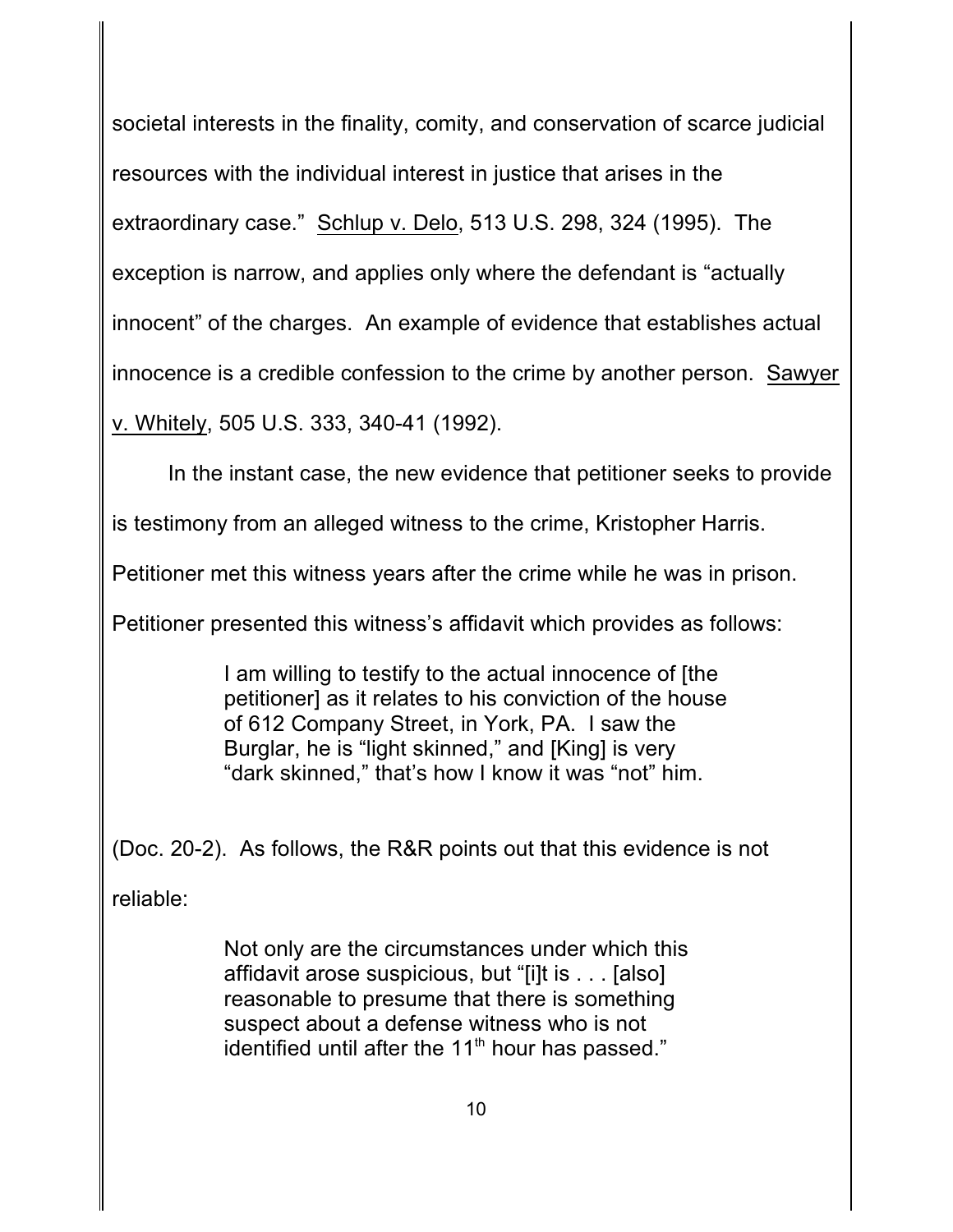societal interests in the finality, comity, and conservation of scarce judicial resources with the individual interest in justice that arises in the extraordinary case." Schlup v. Delo, 513 U.S. 298, 324 (1995). The exception is narrow, and applies only where the defendant is "actually innocent" of the charges. An example of evidence that establishes actual innocence is a credible confession to the crime by another person. Sawyer v. Whitely, 505 U.S. 333, 340-41 (1992).

In the instant case, the new evidence that petitioner seeks to provide

is testimony from an alleged witness to the crime, Kristopher Harris.

Petitioner met this witness years after the crime while he was in prison.

Petitioner presented this witness's affidavit which provides as follows:

I am willing to testify to the actual innocence of [the petitioner] as it relates to his conviction of the house of 612 Company Street, in York, PA. I saw the Burglar, he is "light skinned," and [King] is very "dark skinned," that's how I know it was "not" him.

(Doc. 20-2). As follows, the R&R points out that this evidence is not

reliable:

Not only are the circumstances under which this affidavit arose suspicious, but "[i]t is . . . [also] reasonable to presume that there is something suspect about a defense witness who is not identified until after the  $11<sup>th</sup>$  hour has passed."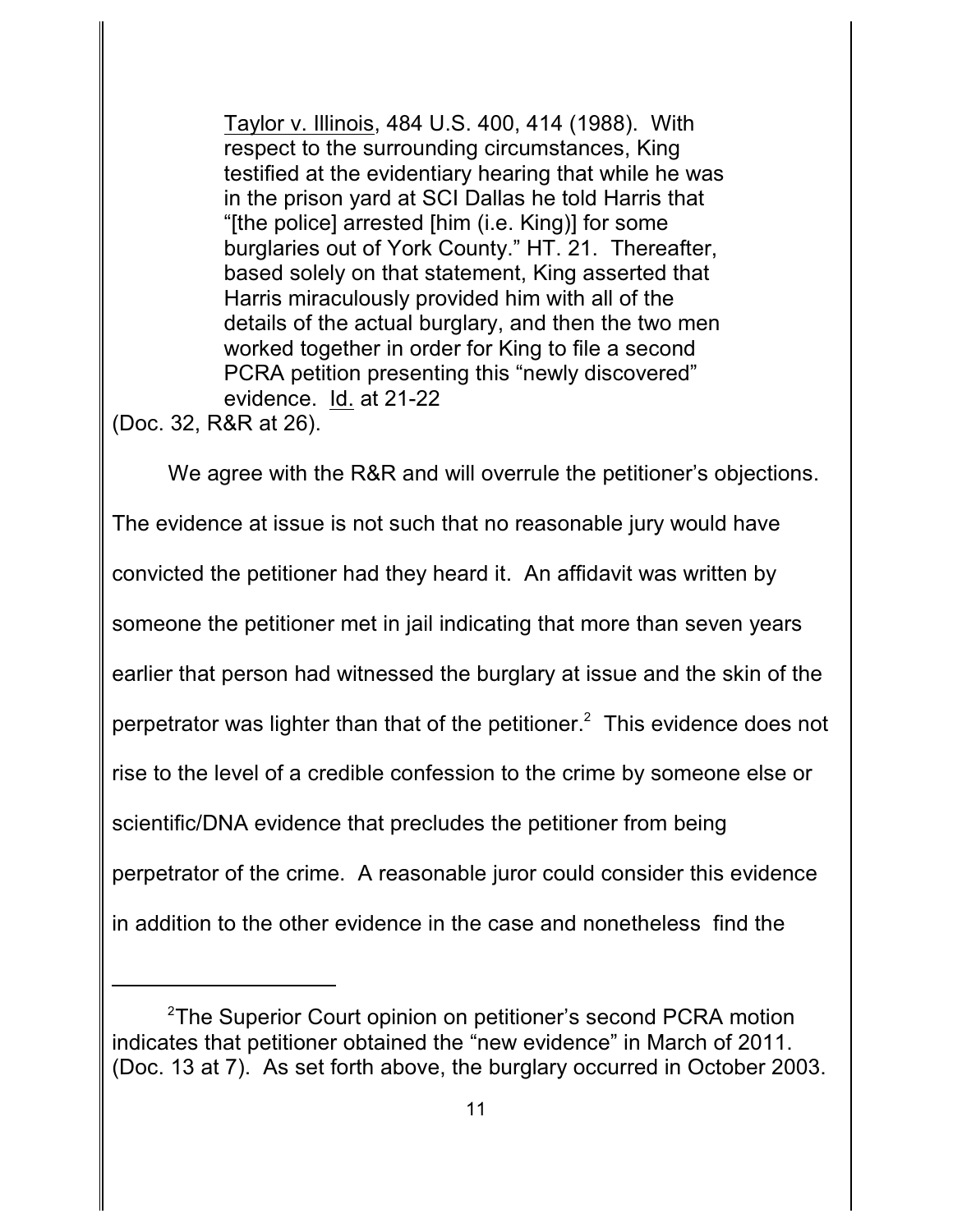Taylor v. Illinois, 484 U.S. 400, 414 (1988). With respect to the surrounding circumstances, King testified at the evidentiary hearing that while he was in the prison yard at SCI Dallas he told Harris that "[the police] arrested [him (i.e. King)] for some burglaries out of York County." HT. 21. Thereafter, based solely on that statement, King asserted that Harris miraculously provided him with all of the details of the actual burglary, and then the two men worked together in order for King to file a second PCRA petition presenting this "newly discovered" evidence. Id. at 21-22

(Doc. 32, R&R at 26).

We agree with the R&R and will overrule the petitioner's objections. The evidence at issue is not such that no reasonable jury would have convicted the petitioner had they heard it. An affidavit was written by someone the petitioner met in jail indicating that more than seven years earlier that person had witnessed the burglary at issue and the skin of the perpetrator was lighter than that of the petitioner.<sup>2</sup> This evidence does not rise to the level of a credible confession to the crime by someone else or scientific/DNA evidence that precludes the petitioner from being perpetrator of the crime. A reasonable juror could consider this evidence in addition to the other evidence in the case and nonetheless find the

<sup>&</sup>lt;sup>2</sup>The Superior Court opinion on petitioner's second PCRA motion indicates that petitioner obtained the "new evidence" in March of 2011. (Doc. 13 at 7). As set forth above, the burglary occurred in October 2003.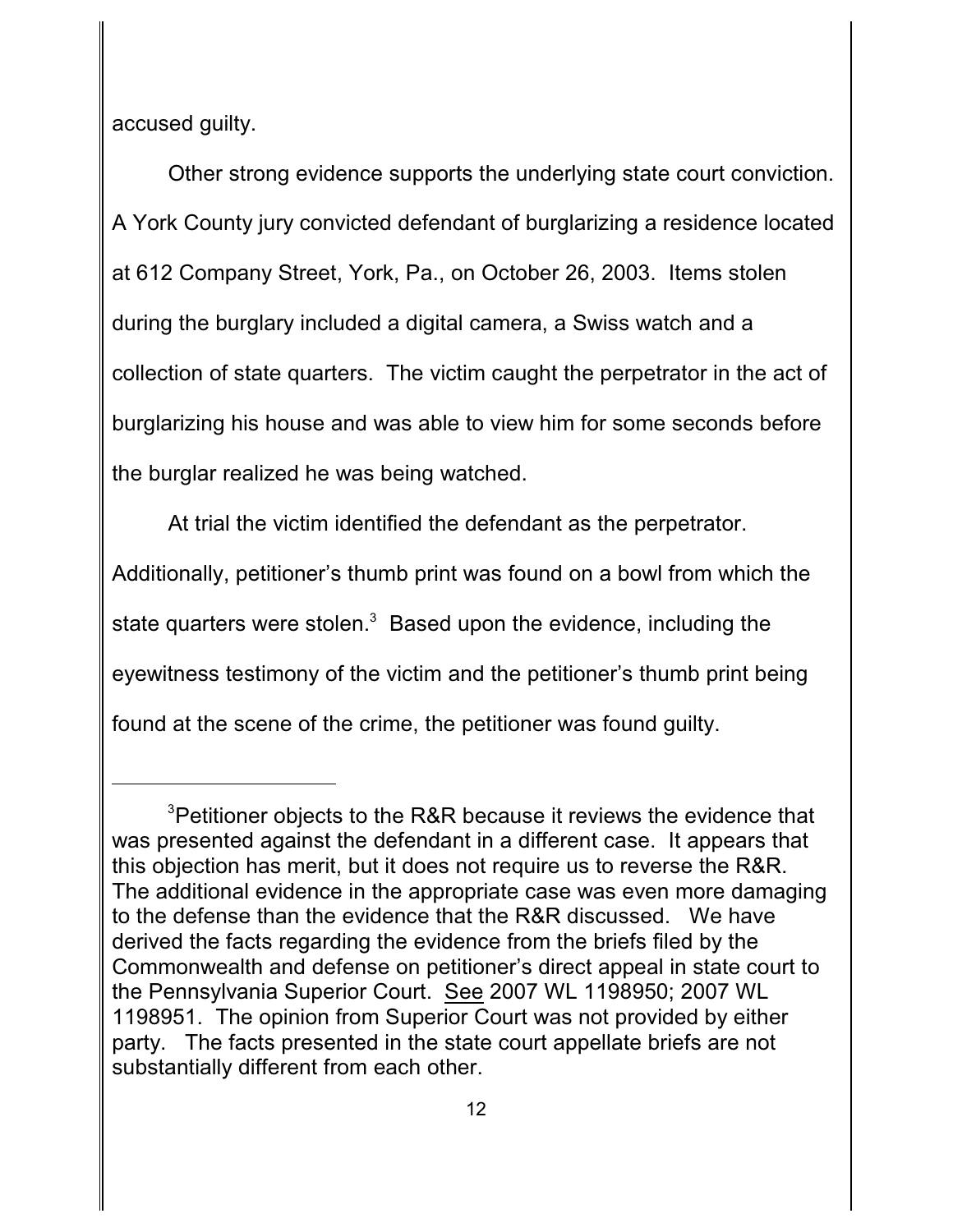accused guilty.

Other strong evidence supports the underlying state court conviction. A York County jury convicted defendant of burglarizing a residence located at 612 Company Street, York, Pa., on October 26, 2003. Items stolen during the burglary included a digital camera, a Swiss watch and a collection of state quarters. The victim caught the perpetrator in the act of burglarizing his house and was able to view him for some seconds before the burglar realized he was being watched.

At trial the victim identified the defendant as the perpetrator. Additionally, petitioner's thumb print was found on a bowl from which the state quarters were stolen. $3$  Based upon the evidence, including the eyewitness testimony of the victim and the petitioner's thumb print being found at the scene of the crime, the petitioner was found guilty.

<sup>&</sup>lt;sup>3</sup> Petitioner objects to the R&R because it reviews the evidence that was presented against the defendant in a different case. It appears that this objection has merit, but it does not require us to reverse the R&R. The additional evidence in the appropriate case was even more damaging to the defense than the evidence that the R&R discussed. We have derived the facts regarding the evidence from the briefs filed by the Commonwealth and defense on petitioner's direct appeal in state court to the Pennsylvania Superior Court. See 2007 WL 1198950; 2007 WL 1198951. The opinion from Superior Court was not provided by either party. The facts presented in the state court appellate briefs are not substantially different from each other.